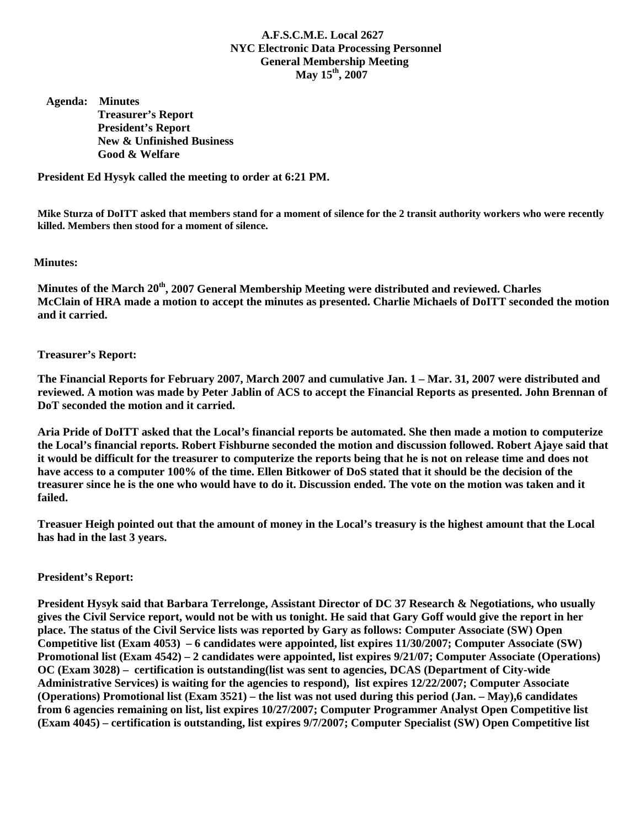# **A.F.S.C.M.E. Local 2627 NYC Electronic Data Processing Personnel General Membership Meeting May 15th, 2007**

 **Agenda: Minutes Treasurer's Report President's Report New & Unfinished Business Good & Welfare** 

**President Ed Hysyk called the meeting to order at 6:21 PM.** 

**Mike Sturza of DoITT asked that members stand for a moment of silence for the 2 transit authority workers who were recently killed. Members then stood for a moment of silence.** 

## **Minutes:**

**Minutes of the March 20th, 2007 General Membership Meeting were distributed and reviewed. Charles McClain of HRA made a motion to accept the minutes as presented. Charlie Michaels of DoITT seconded the motion and it carried.** 

### **Treasurer's Report:**

**The Financial Reports for February 2007, March 2007 and cumulative Jan. 1 – Mar. 31, 2007 were distributed and reviewed. A motion was made by Peter Jablin of ACS to accept the Financial Reports as presented. John Brennan of DoT seconded the motion and it carried.** 

**Aria Pride of DoITT asked that the Local's financial reports be automated. She then made a motion to computerize the Local's financial reports. Robert Fishburne seconded the motion and discussion followed. Robert Ajaye said that it would be difficult for the treasurer to computerize the reports being that he is not on release time and does not have access to a computer 100% of the time. Ellen Bitkower of DoS stated that it should be the decision of the treasurer since he is the one who would have to do it. Discussion ended. The vote on the motion was taken and it failed.** 

**Treasuer Heigh pointed out that the amount of money in the Local's treasury is the highest amount that the Local has had in the last 3 years.** 

#### **President's Report:**

**President Hysyk said that Barbara Terrelonge, Assistant Director of DC 37 Research & Negotiations, who usually gives the Civil Service report, would not be with us tonight. He said that Gary Goff would give the report in her place. The status of the Civil Service lists was reported by Gary as follows: Computer Associate (SW) Open Competitive list (Exam 4053) – 6 candidates were appointed, list expires 11/30/2007; Computer Associate (SW) Promotional list (Exam 4542) – 2 candidates were appointed, list expires 9/21/07; Computer Associate (Operations) OC (Exam 3028) – certification is outstanding(list was sent to agencies, DCAS (Department of City-wide Administrative Services) is waiting for the agencies to respond), list expires 12/22/2007; Computer Associate (Operations) Promotional list (Exam 3521) – the list was not used during this period (Jan. – May),6 candidates from 6 agencies remaining on list, list expires 10/27/2007; Computer Programmer Analyst Open Competitive list (Exam 4045) – certification is outstanding, list expires 9/7/2007; Computer Specialist (SW) Open Competitive list**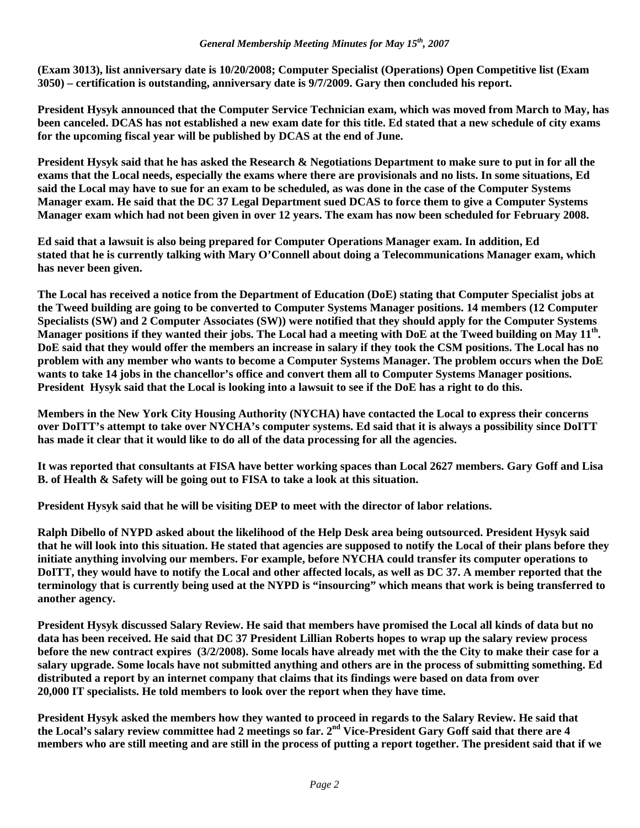**(Exam 3013), list anniversary date is 10/20/2008; Computer Specialist (Operations) Open Competitive list (Exam 3050) – certification is outstanding, anniversary date is 9/7/2009. Gary then concluded his report.** 

**President Hysyk announced that the Computer Service Technician exam, which was moved from March to May, has been canceled. DCAS has not established a new exam date for this title. Ed stated that a new schedule of city exams for the upcoming fiscal year will be published by DCAS at the end of June.** 

**President Hysyk said that he has asked the Research & Negotiations Department to make sure to put in for all the exams that the Local needs, especially the exams where there are provisionals and no lists. In some situations, Ed said the Local may have to sue for an exam to be scheduled, as was done in the case of the Computer Systems Manager exam. He said that the DC 37 Legal Department sued DCAS to force them to give a Computer Systems Manager exam which had not been given in over 12 years. The exam has now been scheduled for February 2008.** 

**Ed said that a lawsuit is also being prepared for Computer Operations Manager exam. In addition, Ed stated that he is currently talking with Mary O'Connell about doing a Telecommunications Manager exam, which has never been given.** 

**The Local has received a notice from the Department of Education (DoE) stating that Computer Specialist jobs at the Tweed building are going to be converted to Computer Systems Manager positions. 14 members (12 Computer Specialists (SW) and 2 Computer Associates (SW)) were notified that they should apply for the Computer Systems Manager positions if they wanted their jobs. The Local had a meeting with DoE at the Tweed building on May 11th. DoE said that they would offer the members an increase in salary if they took the CSM positions. The Local has no problem with any member who wants to become a Computer Systems Manager. The problem occurs when the DoE wants to take 14 jobs in the chancellor's office and convert them all to Computer Systems Manager positions. President Hysyk said that the Local is looking into a lawsuit to see if the DoE has a right to do this.** 

**Members in the New York City Housing Authority (NYCHA) have contacted the Local to express their concerns over DoITT's attempt to take over NYCHA's computer systems. Ed said that it is always a possibility since DoITT has made it clear that it would like to do all of the data processing for all the agencies.** 

**It was reported that consultants at FISA have better working spaces than Local 2627 members. Gary Goff and Lisa B. of Health & Safety will be going out to FISA to take a look at this situation.** 

**President Hysyk said that he will be visiting DEP to meet with the director of labor relations.** 

**Ralph Dibello of NYPD asked about the likelihood of the Help Desk area being outsourced. President Hysyk said that he will look into this situation. He stated that agencies are supposed to notify the Local of their plans before they initiate anything involving our members. For example, before NYCHA could transfer its computer operations to DoITT, they would have to notify the Local and other affected locals, as well as DC 37. A member reported that the terminology that is currently being used at the NYPD is "insourcing" which means that work is being transferred to another agency.** 

**President Hysyk discussed Salary Review. He said that members have promised the Local all kinds of data but no data has been received. He said that DC 37 President Lillian Roberts hopes to wrap up the salary review process before the new contract expires (3/2/2008). Some locals have already met with the the City to make their case for a salary upgrade. Some locals have not submitted anything and others are in the process of submitting something. Ed distributed a report by an internet company that claims that its findings were based on data from over 20,000 IT specialists. He told members to look over the report when they have time.** 

**President Hysyk asked the members how they wanted to proceed in regards to the Salary Review. He said that the Local's salary review committee had 2 meetings so far. 2nd Vice-President Gary Goff said that there are 4 members who are still meeting and are still in the process of putting a report together. The president said that if we**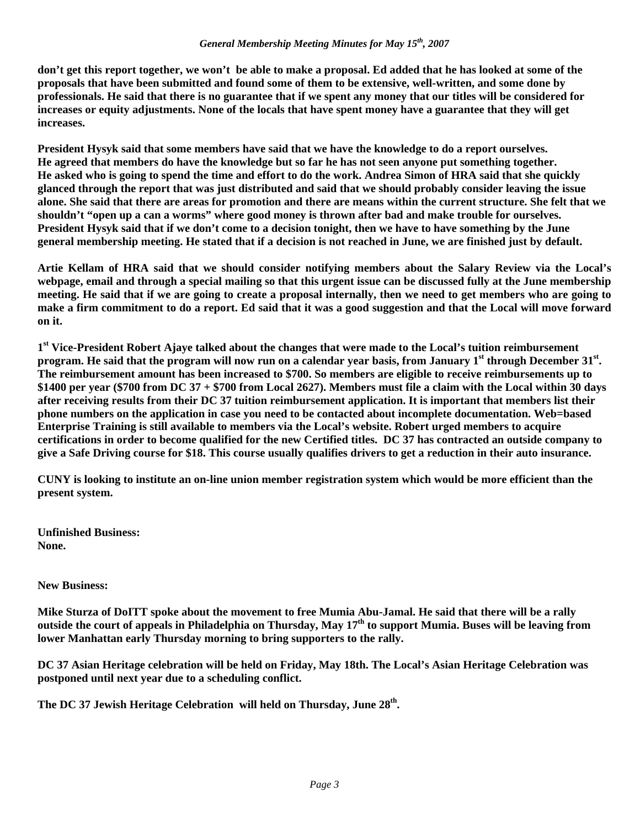### *General Membership Meeting Minutes for May 15th, 2007*

**don't get this report together, we won't be able to make a proposal. Ed added that he has looked at some of the proposals that have been submitted and found some of them to be extensive, well-written, and some done by professionals. He said that there is no guarantee that if we spent any money that our titles will be considered for increases or equity adjustments. None of the locals that have spent money have a guarantee that they will get increases.** 

**President Hysyk said that some members have said that we have the knowledge to do a report ourselves. He agreed that members do have the knowledge but so far he has not seen anyone put something together. He asked who is going to spend the time and effort to do the work. Andrea Simon of HRA said that she quickly glanced through the report that was just distributed and said that we should probably consider leaving the issue alone. She said that there are areas for promotion and there are means within the current structure. She felt that we shouldn't "open up a can a worms" where good money is thrown after bad and make trouble for ourselves. President Hysyk said that if we don't come to a decision tonight, then we have to have something by the June general membership meeting. He stated that if a decision is not reached in June, we are finished just by default.** 

**Artie Kellam of HRA said that we should consider notifying members about the Salary Review via the Local's webpage, email and through a special mailing so that this urgent issue can be discussed fully at the June membership meeting. He said that if we are going to create a proposal internally, then we need to get members who are going to make a firm commitment to do a report. Ed said that it was a good suggestion and that the Local will move forward on it.** 

**1st Vice-President Robert Ajaye talked about the changes that were made to the Local's tuition reimbursement program. He said that the program will now run on a calendar year basis, from January 1<sup>st</sup> through December 31<sup>st</sup>. The reimbursement amount has been increased to \$700. So members are eligible to receive reimbursements up to \$1400 per year (\$700 from DC 37 + \$700 from Local 2627). Members must file a claim with the Local within 30 days after receiving results from their DC 37 tuition reimbursement application. It is important that members list their phone numbers on the application in case you need to be contacted about incomplete documentation. Web=based Enterprise Training is still available to members via the Local's website. Robert urged members to acquire certifications in order to become qualified for the new Certified titles. DC 37 has contracted an outside company to give a Safe Driving course for \$18. This course usually qualifies drivers to get a reduction in their auto insurance.** 

**CUNY is looking to institute an on-line union member registration system which would be more efficient than the present system.** 

**Unfinished Business: None.** 

**New Business:** 

**Mike Sturza of DoITT spoke about the movement to free Mumia Abu-Jamal. He said that there will be a rally outside the court of appeals in Philadelphia on Thursday, May 17th to support Mumia. Buses will be leaving from lower Manhattan early Thursday morning to bring supporters to the rally.** 

**DC 37 Asian Heritage celebration will be held on Friday, May 18th. The Local's Asian Heritage Celebration was postponed until next year due to a scheduling conflict.** 

The DC 37 Jewish Heritage Celebration will held on Thursday, June 28<sup>th</sup>.